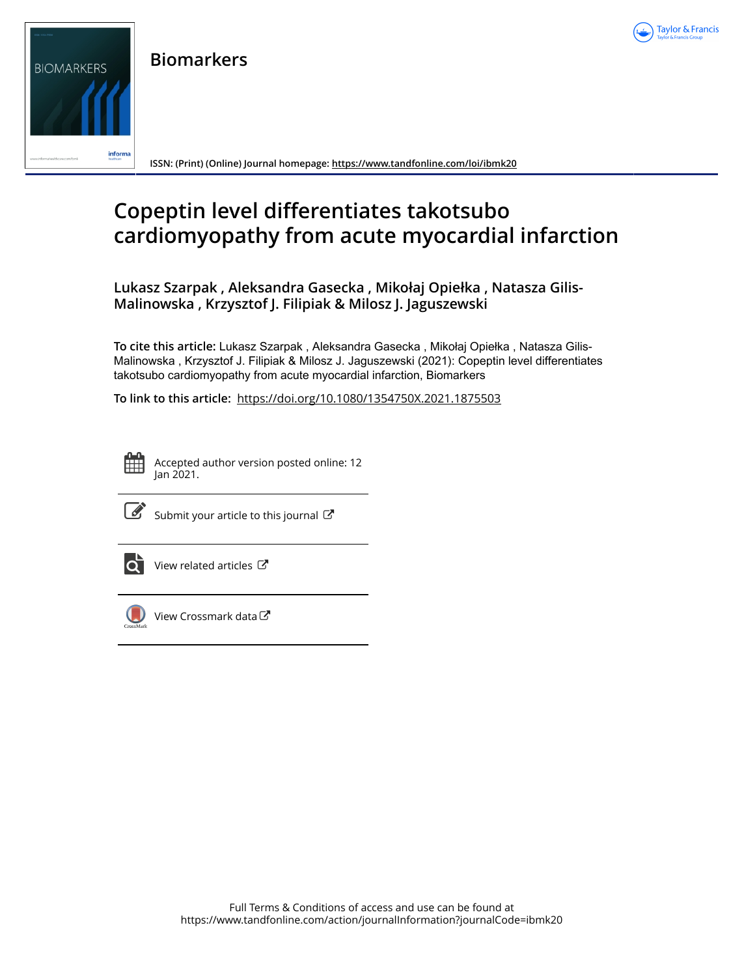

**Biomarkers**



**ISSN: (Print) (Online) Journal homepage:<https://www.tandfonline.com/loi/ibmk20>**

# **Copeptin level differentiates takotsubo cardiomyopathy from acute myocardial infarction**

**Lukasz Szarpak , Aleksandra Gasecka , Mikołaj Opiełka , Natasza Gilis-Malinowska , Krzysztof J. Filipiak & Milosz J. Jaguszewski**

**To cite this article:** Lukasz Szarpak , Aleksandra Gasecka , Mikołaj Opiełka , Natasza Gilis-Malinowska , Krzysztof J. Filipiak & Milosz J. Jaguszewski (2021): Copeptin level differentiates takotsubo cardiomyopathy from acute myocardial infarction, Biomarkers

**To link to this article:** <https://doi.org/10.1080/1354750X.2021.1875503>



Accepted author version posted online: 12 Jan 2021.



 $\overline{\mathscr{L}}$  [Submit your article to this journal](https://www.tandfonline.com/action/authorSubmission?journalCode=ibmk20&show=instructions)  $\mathbb{Z}$ 



[View related articles](https://www.tandfonline.com/doi/mlt/10.1080/1354750X.2021.1875503)  $\mathbb{Z}$ 



[View Crossmark data](http://crossmark.crossref.org/dialog/?doi=10.1080/1354750X.2021.1875503&domain=pdf&date_stamp=2021-01-12)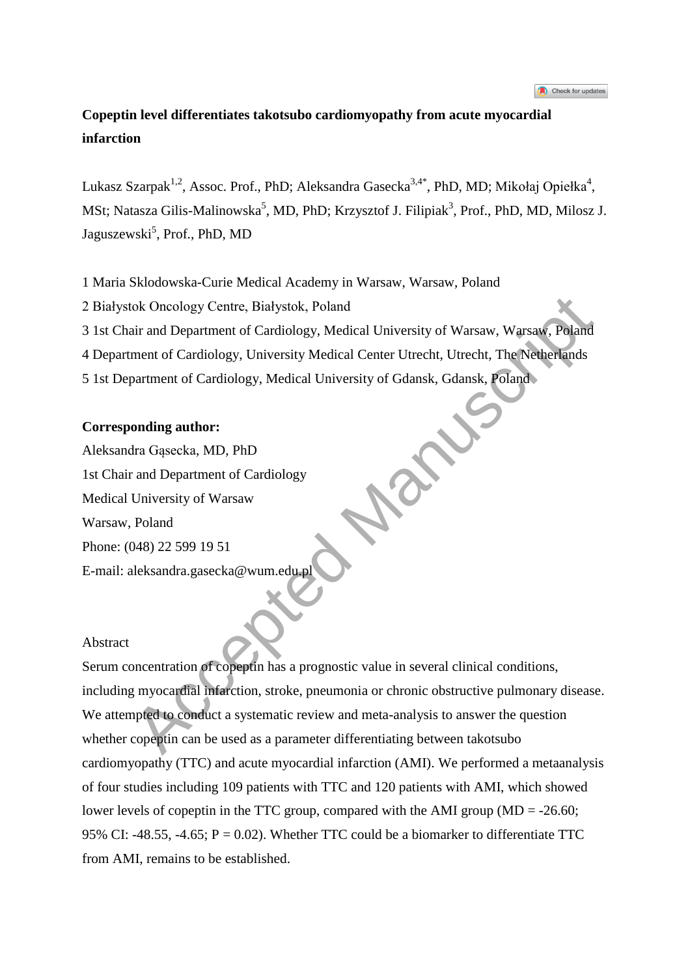## **Copeptin level differentiates takotsubo cardiomyopathy from acute myocardial infarction**

Lukasz Szarpak<sup>1,2</sup>, Assoc. Prof., PhD; Aleksandra Gasecka<sup>3,4\*</sup>, PhD, MD; Mikołaj Opiełka<sup>4</sup>, MSt; Natasza Gilis-Malinowska<sup>5</sup>, MD, PhD; Krzysztof J. Filipiak<sup>3</sup>, Prof., PhD, MD, Milosz J. Jaguszewski<sup>5</sup>, Prof., PhD, MD

1 Maria Sklodowska-Curie Medical Academy in Warsaw, Warsaw, Poland

2 Białystok Oncology Centre, Białystok, Poland

3 1st Chair and Department of Cardiology, Medical University of Warsaw, Warsaw, Poland

4 Department of Cardiology, University Medical Center Utrecht, Utrecht, The Netherlands

5 1st Department of Cardiology, Medical University of Gdansk, Gdansk, Poland

### **Corresponding author:**

Aleksandra Gąsecka, MD, PhD 1st Chair and Department of Cardiology Medical University of Warsaw Warsaw, Poland Phone: (048) 22 599 19 51 E-mail: aleksandra.gasecka@wum.edu.pl

### Abstract

Serum concentration of copeptin has a prognostic value in several clinical conditions, including myocardial infarction, stroke, pneumonia or chronic obstructive pulmonary disease. We attempted to conduct a systematic review and meta-analysis to answer the question whether copeptin can be used as a parameter differentiating between takotsubo cardiomyopathy (TTC) and acute myocardial infarction (AMI). We performed a metaanalysis of four studies including 109 patients with TTC and 120 patients with AMI, which showed lower levels of copeptin in the TTC group, compared with the AMI group (MD = -26.60; 95% CI: -48.55, -4.65;  $P = 0.02$ ). Whether TTC could be a biomarker to differentiate TTC from AMI, remains to be established. Not Oncology Centre, Białystok, Poland<br>
Accelia University of Warsaw, Warsaw, Poland<br>
Accelia University Medical University of Warsaw, Warsaw, Poland<br>
ment of Cardiology, University Medical Center Utrecht, Utrecht, The Net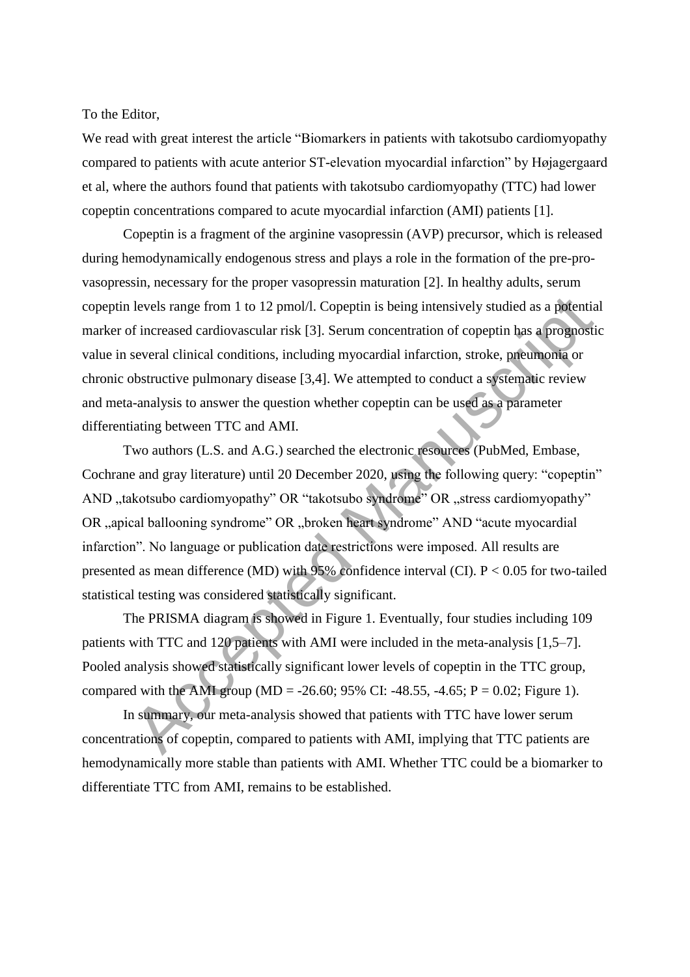To the Editor,

We read with great interest the article "Biomarkers in patients with takotsubo cardiomyopathy compared to patients with acute anterior ST-elevation myocardial infarction" by Højagergaard et al, where the authors found that patients with takotsubo cardiomyopathy (TTC) had lower copeptin concentrations compared to acute myocardial infarction (AMI) patients [1].

Copeptin is a fragment of the arginine vasopressin (AVP) precursor, which is released during hemodynamically endogenous stress and plays a role in the formation of the pre-provasopressin, necessary for the proper vasopressin maturation [2]. In healthy adults, serum copeptin levels range from 1 to 12 pmol/l. Copeptin is being intensively studied as a potential marker of increased cardiovascular risk [3]. Serum concentration of copeptin has a prognostic value in several clinical conditions, including myocardial infarction, stroke, pneumonia or chronic obstructive pulmonary disease [3,4]. We attempted to conduct a systematic review and meta-analysis to answer the question whether copeptin can be used as a parameter differentiating between TTC and AMI.

Two authors (L.S. and A.G.) searched the electronic resources (PubMed, Embase, Cochrane and gray literature) until 20 December 2020, using the following query: "copeptin" AND "takotsubo cardiomyopathy" OR "takotsubo syndrome" OR "stress cardiomyopathy" OR "apical ballooning syndrome" OR "broken heart syndrome" AND "acute myocardial infarction". No language or publication date restrictions were imposed. All results are presented as mean difference (MD) with  $95\%$  confidence interval (CI).  $P < 0.05$  for two-tailed statistical testing was considered statistically significant. levels range from 1 to 12 pmol/l. Copeptin is being intensively studied as a potentis<br>f increased cardiovascular risk [3]. Serum concentration of copeptin has a prognost<br>several clinical conditions, including myocardial i

The PRISMA diagram is showed in Figure 1. Eventually, four studies including 109 patients with TTC and 120 patients with AMI were included in the meta-analysis [1,5–7]. Pooled analysis showed statistically significant lower levels of copeptin in the TTC group, compared with the AMI group (MD = -26.60; 95% CI: -48.55, -4.65; P = 0.02; Figure 1).

In summary, our meta-analysis showed that patients with TTC have lower serum concentrations of copeptin, compared to patients with AMI, implying that TTC patients are hemodynamically more stable than patients with AMI. Whether TTC could be a biomarker to differentiate TTC from AMI, remains to be established.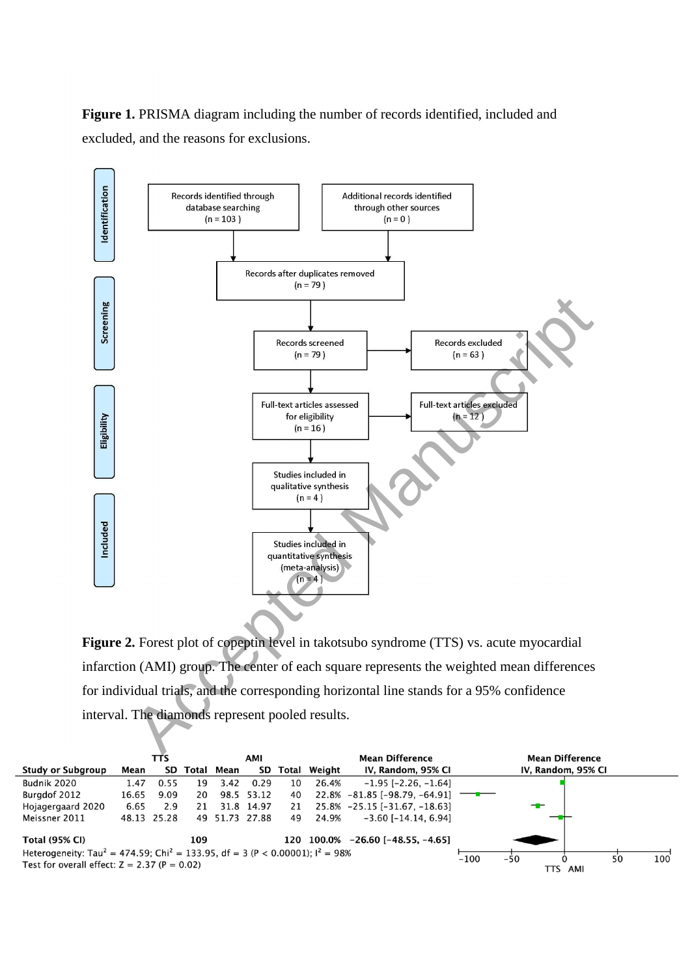**Figure 1.** PRISMA diagram including the number of records identified, included and excluded, and the reasons for exclusions.



**Figure 2.** Forest plot of copeptin level in takotsubo syndrome (TTS) vs. acute myocardial infarction (AMI) group. The center of each square represents the weighted mean differences for individual trials, and the corresponding horizontal line stands for a 95% confidence

|                                                                                                        | TTS   |             |     | AMI            |            |    |              | <b>Mean Difference</b>              | <b>Mean Difference</b> |       |                    |    |     |
|--------------------------------------------------------------------------------------------------------|-------|-------------|-----|----------------|------------|----|--------------|-------------------------------------|------------------------|-------|--------------------|----|-----|
| <b>Study or Subgroup</b>                                                                               | Mean  |             |     | SD Total Mean  | SD         |    | Total Weight | IV, Random, 95% CI                  |                        |       | IV, Random, 95% CI |    |     |
| Budnik 2020                                                                                            | 1.47  | 0.55        | 19  | 3.42           | 0.29       | 10 | 26.4%        | $-1.95$ [ $-2.26$ , $-1.64$ ]       |                        |       |                    |    |     |
| Burgdof 2012                                                                                           | 16.65 | 9.09        | 20  |                | 98.5 53.12 | 40 |              | $22.8\% -81.85$ [-98.79, -64.91] —— |                        |       |                    |    |     |
| Hojagergaard 2020                                                                                      | 6.65  | 2.9         | 21  |                | 31.8 14.97 | 21 |              | 25.8% -25.15 [-31.67, -18.63]       |                        |       |                    |    |     |
| Meissner 2011                                                                                          |       | 48.13 25.28 |     | 49 51.73 27.88 |            | 49 | 24.9%        | $-3.60$ [ $-14.14$ , 6.94]          |                        |       |                    |    |     |
| <b>Total (95% CI)</b>                                                                                  |       |             | 109 |                |            |    |              | 120 100.0% -26.60 [-48.55, -4.65]   |                        |       |                    |    |     |
| Heterogeneity: Tau <sup>2</sup> = 474.59; Chi <sup>2</sup> = 133.95, df = 3 (P < 0.00001); $I^2$ = 98% |       |             |     |                |            |    |              |                                     | $-100$                 | $-50$ |                    | 50 | 100 |
| Test for overall effect: $Z = 2.37$ (P = 0.02)                                                         |       |             |     |                |            |    |              |                                     |                        | TTS   | AMI                |    |     |